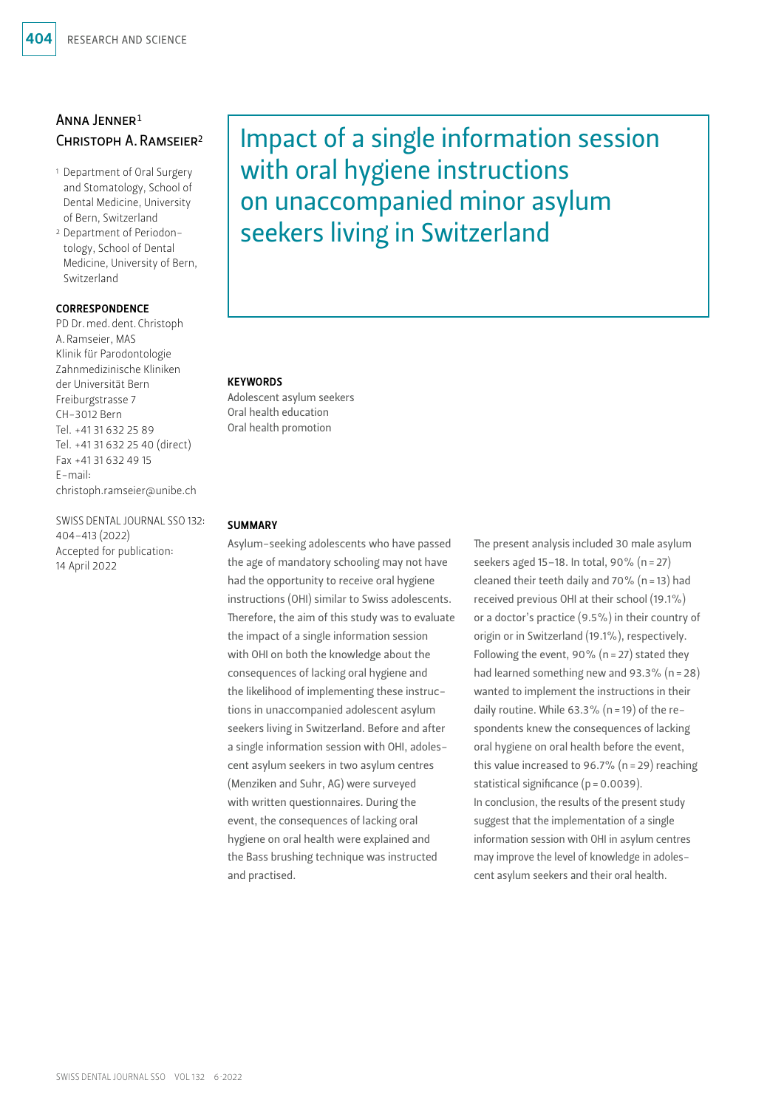### Anna Jenner1 Christoph A.Ramseier2

- 1 Department of Oral Surgery and Stomatology, School of Dental Medicine, University of Bern, Switzerland
- 2 Department of Periodontology, School of Dental Medicine, University of Bern, Switzerland

### **CORRESPONDENCE**

PD Dr. med. dent. Christoph A.Ramseier, MAS Klinik für Parodontologie Zahnmedizinische Kliniken der Universität Bern Freiburgstrasse 7 CH-3012 Bern Tel. +41 31 632 25 89 Tel. +41 31 632 25 40 (direct) Fax +41 31 632 49 15 E-mail: christoph.ramseier@unibe.ch

SWISS DENTAL JOURNAL SSO 132: 404–413 (2022) Accepted for publication: 14 April 2022

# Impact of a single information session with oral hygiene instructions on unaccompanied minor asylum seekers living in Switzerland

#### **KEYWORDS**

Adolescent asylum seekers Oral health education Oral health promotion

#### **SUMMARY**

Asylum-seeking adolescents who have passed the age of mandatory schooling may not have had the opportunity to receive oral hygiene instructions (OHI) similar to Swiss adolescents. Therefore, the aim of this study was to evaluate the impact of a single information session with OHI on both the knowledge about the consequences of lacking oral hygiene and the likelihood of implementing these instructions in unaccompanied adolescent asylum seekers living in Switzerland. Before and after a single information session with OHI, adolescent asylum seekers in two asylum centres (Menziken and Suhr, AG) were surveyed with written questionnaires. During the event, the consequences of lacking oral hygiene on oral health were explained and the Bass brushing technique was instructed and practised.

The present analysis included 30 male asylum seekers aged 15–18. In total, 90% (n=27) cleaned their teeth daily and 70% ( $n = 13$ ) had received previous OHI at their school (19.1%) or a doctor's practice (9.5%) in their country of origin or in Switzerland (19.1%), respectively. Following the event, 90% ( $n=27$ ) stated they had learned something new and 93.3% (n=28) wanted to implement the instructions in their daily routine. While 63.3% (n=19) of the respondents knew the consequences of lacking oral hygiene on oral health before the event, this value increased to 96.7% (n=29) reaching statistical significance (p = 0.0039). In conclusion, the results of the present study suggest that the implementation of a single information session with OHI in asylum centres may improve the level of knowledge in adolescent asylum seekers and their oral health.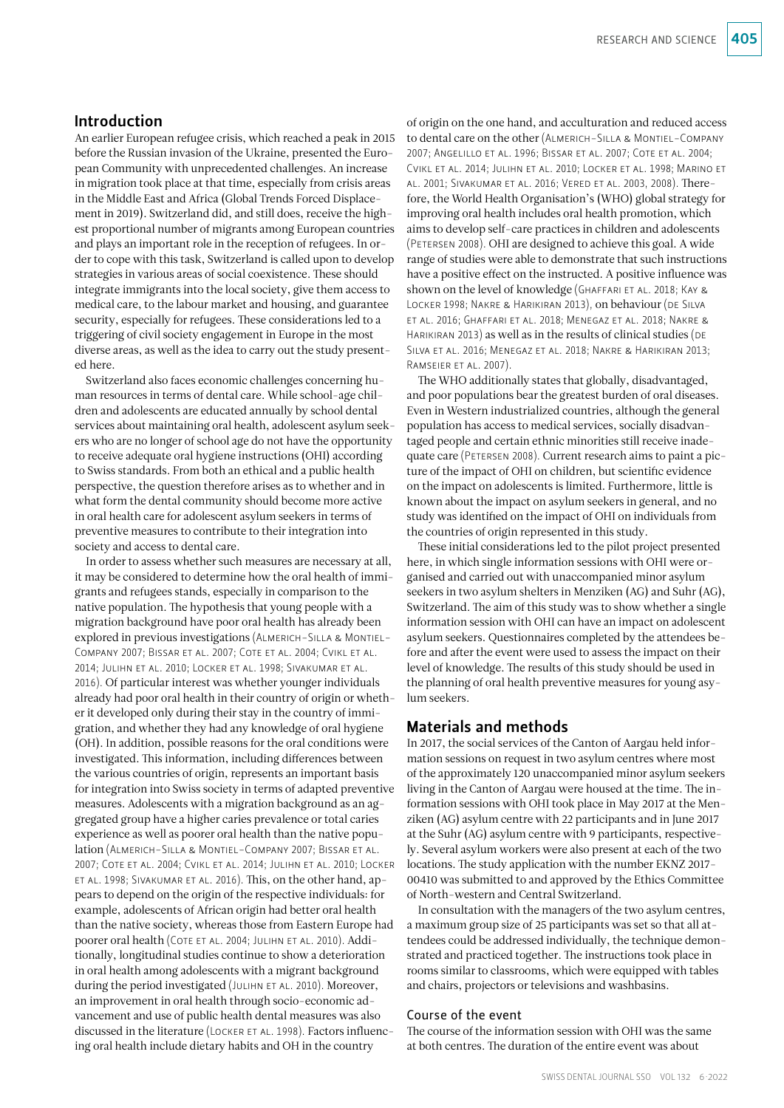### Introduction

An earlier European refugee crisis, which reached a peak in 2015 before the Russian invasion of the Ukraine, presented the European Community with unprecedented challenges. An increase in migration took place at that time, especially from crisis areas in the Middle East and Africa (Global Trends Forced Displacement in 2019). Switzerland did, and still does, receive the highest proportional number of migrants among European countries and plays an important role in the reception of refugees. In order to cope with this task, Switzerland is called upon to develop strategies in various areas of social coexistence. These should integrate immigrants into the local society, give them access to medical care, to the labour market and housing, and guarantee security, especially for refugees. These considerations led to a triggering of civil society engagement in Europe in the most diverse areas, as well as the idea to carry out the study presented here.

Switzerland also faces economic challenges concerning human resources in terms of dental care. While school-age children and adolescents are educated annually by school dental services about maintaining oral health, adolescent asylum seekers who are no longer of school age do not have the opportunity to receive adequate oral hygiene instructions (OHI) according to Swiss standards. From both an ethical and a public health perspective, the question therefore arises as to whether and in what form the dental community should become more active in oral health care for adolescent asylum seekers in terms of preventive measures to contribute to their integration into society and access to dental care.

In order to assess whether such measures are necessary at all, it may be considered to determine how the oral health of immigrants and refugees stands, especially in comparison to the native population. The hypothesis that young people with a migration background have poor oral health has already been explored in previous investigations (Almerich-Silla & Montiel-Company 2007; Bissar et al. 2007; Cote et al. 2004; Cvikl et al. 2014; Julihn et al. 2010; Locker et al. 1998; Sivakumar et al. 2016). Of particular interest was whether younger individuals already had poor oral health in their country of origin or whether it developed only during their stay in the country of immigration, and whether they had any knowledge of oral hygiene (OH). In addition, possible reasons for the oral conditions were investigated. This information, including differences between the various countries of origin, represents an important basis for integration into Swiss society in terms of adapted preventive measures. Adolescents with a migration background as an aggregated group have a higher caries prevalence or total caries experience as well as poorer oral health than the native population (Almerich-Silla & Montiel-Company 2007; Bissar et al. 2007; Cote et al. 2004; Cvikl et al. 2014; Julihn et al. 2010; Locker et al. 1998; Sivakumar et al. 2016). This, on the other hand, appears to depend on the origin of the respective individuals: for example, adolescents of African origin had better oral health than the native society, whereas those from Eastern Europe had poorer oral health (Cote et al. 2004; Julihn et al. 2010). Additionally, longitudinal studies continue to show a deterioration in oral health among adolescents with a migrant background during the period investigated (JULIHN ET AL. 2010). Moreover, an improvement in oral health through socio-economic advancement and use of public health dental measures was also discussed in the literature (Locker et al. 1998). Factors influencing oral health include dietary habits and OH in the country

of origin on the one hand, and acculturation and reduced access to dental care on the other (Almerich-Silla & Montiel-Company 2007; Angelillo et al. 1996; Bissar et al. 2007; Cote et al. 2004; Cvikl et al. 2014; Julihn et al. 2010; Locker et al. 1998; Marino et al. 2001; Sivakumar et al. 2016; Vered et al. 2003, 2008). Therefore, the World Health Organisation's (WHO) global strategy for improving oral health includes oral health promotion, which aims to develop self-care practices in children and adolescents (Petersen 2008). OHI are designed to achieve this goal. A wide range of studies were able to demonstrate that such instructions have a positive effect on the instructed. A positive influence was shown on the level of knowledge (GHAFFARI ET AL. 2018; KAY & Locker 1998; Nakre & Harikiran 2013), on behaviour (de Silva et al. 2016; Ghaffari et al. 2018; Menegaz et al. 2018; Nakre & HARIKIRAN 2013) as well as in the results of clinical studies (DE Silva et al. 2016; Menegaz et al. 2018; Nakre & Harikiran 2013; Ramseier et al. 2007).

The WHO additionally states that globally, disadvantaged, and poor populations bear the greatest burden of oral diseases. Even in Western industrialized countries, although the general population has access to medical services, socially disadvantaged people and certain ethnic minorities still receive inadequate care (Petersen 2008). Current research aims to paint a picture of the impact of OHI on children, but scientific evidence on the impact on adolescents is limited. Furthermore, little is known about the impact on asylum seekers in general, and no study was identified on the impact of OHI on individuals from the countries of origin represented in this study.

These initial considerations led to the pilot project presented here, in which single information sessions with OHI were organised and carried out with unaccompanied minor asylum seekers in two asylum shelters in Menziken (AG) and Suhr (AG), Switzerland. The aim of this study was to show whether a single information session with OHI can have an impact on adolescent asylum seekers. Questionnaires completed by the attendees before and after the event were used to assess the impact on their level of knowledge. The results of this study should be used in the planning of oral health preventive measures for young asylum seekers.

### Materials and methods

In 2017, the social services of the Canton of Aargau held information sessions on request in two asylum centres where most of the approximately 120 unaccompanied minor asylum seekers living in the Canton of Aargau were housed at the time. The information sessions with OHI took place in May 2017 at the Menziken (AG) asylum centre with 22 participants and in June 2017 at the Suhr (AG) asylum centre with 9 participants, respectively. Several asylum workers were also present at each of the two locations. The study application with the number EKNZ 2017- 00410 was submitted to and approved by the Ethics Committee of North-western and Central Switzerland.

In consultation with the managers of the two asylum centres, a maximum group size of 25 participants was set so that all attendees could be addressed individually, the technique demonstrated and practiced together. The instructions took place in rooms similar to classrooms, which were equipped with tables and chairs, projectors or televisions and washbasins.

### Course of the event

The course of the information session with OHI was the same at both centres. The duration of the entire event was about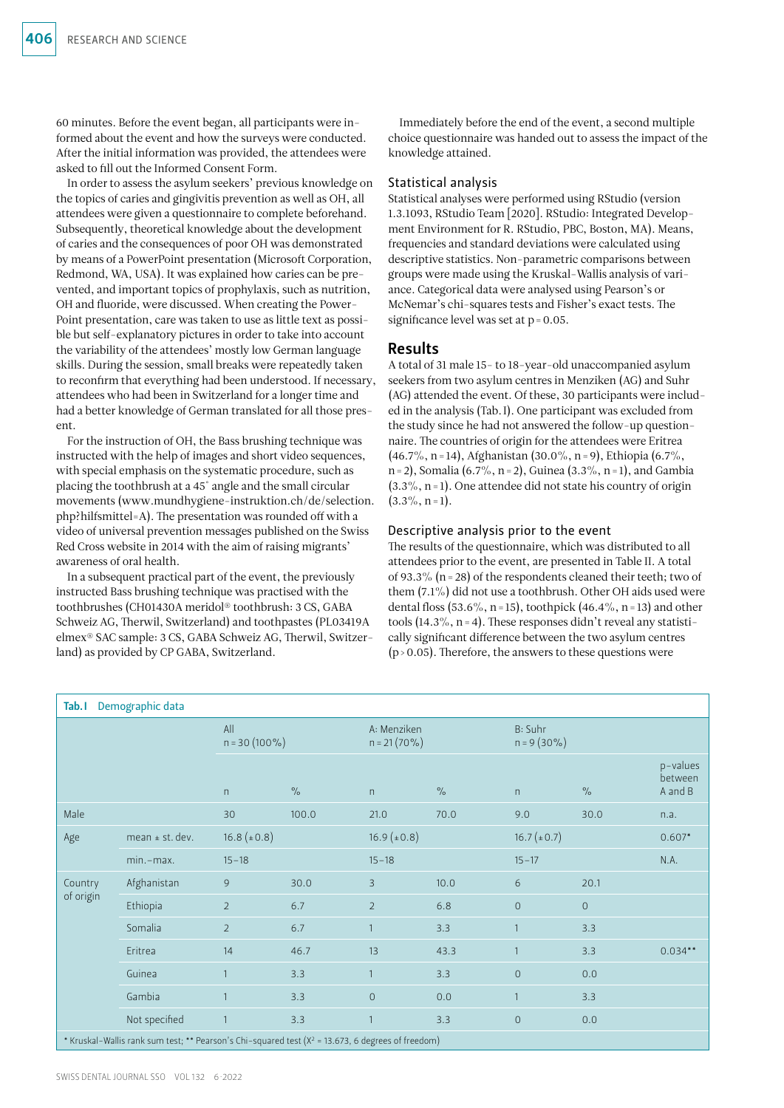60 minutes. Before the event began, all participants were informed about the event and how the surveys were conducted. After the initial information was provided, the attendees were asked to fill out the Informed Consent Form.

In order to assess the asylum seekers' previous knowledge on the topics of caries and gingivitis prevention as well as OH, all attendees were given a questionnaire to complete beforehand. Subsequently, theoretical knowledge about the development of caries and the consequences of poor OH was demonstrated by means of a PowerPoint presentation (Microsoft Corporation, Redmond, WA, USA). It was explained how caries can be prevented, and important topics of prophylaxis, such as nutrition, OH and fluoride, were discussed. When creating the Power-Point presentation, care was taken to use as little text as possible but self-explanatory pictures in order to take into account the variability of the attendees' mostly low German language skills. During the session, small breaks were repeatedly taken to reconfirm that everything had been understood. If necessary, attendees who had been in Switzerland for a longer time and had a better knowledge of German translated for all those present.

For the instruction of OH, the Bass brushing technique was instructed with the help of images and short video sequences, with special emphasis on the systematic procedure, such as placing the toothbrush at a 45° angle and the small circular movements ([www.mundhygiene-instruktion.ch/de/selection.](http://www.mundhygiene-instruktion.ch/de/selection.php?hilfsmittel=A) [php?hilfsmittel=A](http://www.mundhygiene-instruktion.ch/de/selection.php?hilfsmittel=A)). The presentation was rounded off with a video of universal prevention messages published on the Swiss Red Cross website in 2014 with the aim of raising migrants' awareness of oral health.

In a subsequent practical part of the event, the previously instructed Bass brushing technique was practised with the toothbrushes (CH01430A meridol® toothbrush: 3 CS, GABA Schweiz AG, Therwil, Switzerland) and toothpastes (PL03419A elmex® SAC sample: 3 CS, GABA Schweiz AG, Therwil, Switzerland) as provided by CP GABA, Switzerland.

Immediately before the end of the event, a second multiple choice questionnaire was handed out to assess the impact of the knowledge attained.

#### Statistical analysis

Statistical analyses were performed using RStudio (version 1.3.1093, RStudio Team [2020]. RStudio: Integrated Development Environment for R. RStudio, PBC, Boston, MA). Means, frequencies and standard deviations were calculated using descriptive statistics. Non-parametric comparisons between groups were made using the Kruskal-Wallis analysis of variance. Categorical data were analysed using Pearson's or McNemar's chi-squares tests and Fisher's exact tests. The significance level was set at  $p = 0.05$ .

#### Results

A total of 31 male 15- to 18-year-old unaccompanied asylum seekers from two asylum centres in Menziken (AG) and Suhr (AG) attended the event. Of these, 30 participants were included in the analysis (Tab.I). One participant was excluded from the study since he had not answered the follow-up questionnaire. The countries of origin for the attendees were Eritrea (46.7%, n=14), Afghanistan (30.0%, n=9), Ethiopia (6.7%, n = 2), Somalia (6.7%, n = 2), Guinea (3.3%, n = 1), and Gambia  $(3.3\%, n=1)$ . One attendee did not state his country of origin  $(3.3\%, n=1)$ .

#### Descriptive analysis prior to the event

The results of the questionnaire, which was distributed to all attendees prior to the event, are presented in Table II. A total of 93.3% ( $n=28$ ) of the respondents cleaned their teeth; two of them (7.1%) did not use a toothbrush. Other OH aids used were dental floss (53.6%, n=15), toothpick (46.4%, n=13) and other tools  $(14.3\%, n=4)$ . These responses didn't reveal any statistically significant difference between the two asylum centres  $(p>0.05)$ . Therefore, the answers to these questions were

| Demographic data<br>Tab. I                                                                            |                   |                        |                      |                                |                      |                          |                      |                                |  |
|-------------------------------------------------------------------------------------------------------|-------------------|------------------------|----------------------|--------------------------------|----------------------|--------------------------|----------------------|--------------------------------|--|
|                                                                                                       |                   | All<br>$n = 30(100\%)$ |                      | A: Menziken<br>$n = 21 (70\%)$ |                      | B: Suhr<br>$n = 9(30\%)$ |                      |                                |  |
|                                                                                                       |                   | n                      | $\frac{1}{\sqrt{2}}$ | n                              | $\frac{0}{\sqrt{2}}$ | n                        | $\frac{1}{\sqrt{2}}$ | p-values<br>between<br>A and B |  |
| Male                                                                                                  |                   | 30                     | 100.0                | 21.0                           | 70.0                 | 9.0                      | 30.0                 | n.a.                           |  |
| Age                                                                                                   | mean $±$ st. dev. | $16.8 \ (\pm 0.8)$     |                      | $16.9 \ (\pm 0.8)$             |                      | $16.7 (\pm 0.7)$         |                      | $0.607*$                       |  |
|                                                                                                       | $min.-max.$       | $15 - 18$              |                      | $15 - 18$                      |                      | $15 - 17$                |                      | N.A.                           |  |
| Country<br>of origin                                                                                  | Afghanistan       | 9                      | 30.0                 | 3                              | 10.0                 | 6                        | 20.1                 |                                |  |
|                                                                                                       | Ethiopia          | $\overline{2}$         | 6.7                  | $\overline{2}$                 | 6.8                  | $\mathbf{O}$             | $\mathsf{O}\xspace$  |                                |  |
|                                                                                                       | Somalia           | $\overline{2}$         | 6.7                  | $\mathbf{1}$                   | 3.3                  |                          | 3.3                  |                                |  |
|                                                                                                       | Eritrea           | 14                     | 46.7                 | 13                             | 43.3                 |                          | 3.3                  | $0.034**$                      |  |
|                                                                                                       | Guinea            | $\mathbf{1}$           | 3.3                  | $\mathbf{1}$                   | 3.3                  | $\mathbf{O}$             | 0.0                  |                                |  |
|                                                                                                       | Gambia            | $\mathbf{1}$           | 3.3                  | $\overline{O}$                 | 0.0                  |                          | 3.3                  |                                |  |
|                                                                                                       | Not specified     | $\mathbf{1}$           | 3.3                  | $\mathbf{1}$                   | 3.3                  | $\mathsf{O}\xspace$      | 0.0                  |                                |  |
| * Kruskal-Wallis rank sum test; ** Pearson's Chi-squared test ( $X^2$ = 13.673, 6 degrees of freedom) |                   |                        |                      |                                |                      |                          |                      |                                |  |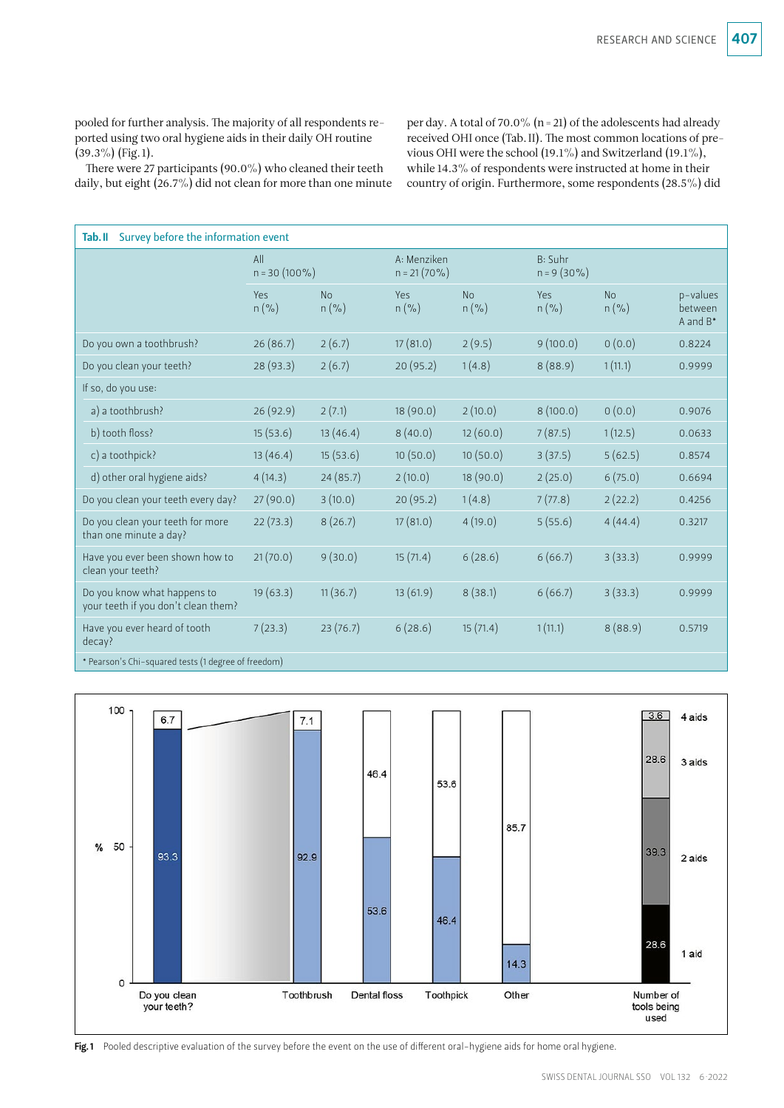pooled for further analysis. The majority of all respondents reported using two oral hygiene aids in their daily OH routine  $(39.3\%)$  (Fig. 1).

There were 27 participants (90.0%) who cleaned their teeth daily, but eight (26.7%) did not clean for more than one minute per day. A total of 70.0% (n=21) of the adolescents had already received OHI once (Tab.II). The most common locations of previous OHI were the school (19.1%) and Switzerland (19.1%), while 14.3% of respondents were instructed at home in their country of origin. Furthermore, some respondents (28.5%) did

| Survey before the information event<br>Tab.II                      |                        |                      |                                |                      |                          |                      |                                    |  |  |
|--------------------------------------------------------------------|------------------------|----------------------|--------------------------------|----------------------|--------------------------|----------------------|------------------------------------|--|--|
|                                                                    | All<br>$n = 30(100\%)$ |                      | A: Menziken<br>$n = 21 (70\%)$ |                      | B: Suhr<br>$n = 9(30\%)$ |                      |                                    |  |  |
|                                                                    | Yes<br>$n$ (%)         | <b>No</b><br>$n$ (%) | Yes<br>$n$ (%)                 | <b>No</b><br>$n$ (%) | Yes<br>$n$ (%)           | <b>No</b><br>$n$ (%) | p-values<br>between<br>A and $B^*$ |  |  |
| Do you own a toothbrush?                                           | 26(86.7)               | 2(6.7)               | 17(81.0)                       | 2(9.5)               | 9(100.0)                 | 0(0.0)               | 0.8224                             |  |  |
| Do you clean your teeth?                                           | 28 (93.3)              | 2(6.7)               | 20 (95.2)                      | 1(4.8)               | 8(88.9)                  | 1(11.1)              | 0.9999                             |  |  |
| If so, do you use:                                                 |                        |                      |                                |                      |                          |                      |                                    |  |  |
| a) a toothbrush?                                                   | 26(92.9)               | 2(7.1)               | 18(90.0)                       | 2(10.0)              | 8(100.0)                 | 0(0.0)               | 0.9076                             |  |  |
| b) tooth floss?                                                    | 15(53.6)               | 13(46.4)             | 8(40.0)                        | 12(60.0)             | 7(87.5)                  | 1(12.5)              | 0.0633                             |  |  |
| c) a toothpick?                                                    | 13(46.4)               | 15(53.6)             | 10(50.0)                       | 10(50.0)             | 3(37.5)                  | 5(62.5)              | 0.8574                             |  |  |
| d) other oral hygiene aids?                                        | 4(14.3)                | 24(85.7)             | 2(10.0)                        | 18(90.0)             | 2(25.0)                  | 6(75.0)              | 0.6694                             |  |  |
| Do you clean your teeth every day?                                 | 27(90.0)               | 3(10.0)              | 20(95.2)                       | 1(4.8)               | 7(77.8)                  | 2(22.2)              | 0.4256                             |  |  |
| Do you clean your teeth for more<br>than one minute a day?         | 22(73.3)               | 8(26.7)              | 17(81.0)                       | 4(19.0)              | 5(55.6)                  | 4(44.4)              | 0.3217                             |  |  |
| Have you ever been shown how to<br>clean your teeth?               | 21(70.0)               | 9(30.0)              | 15(71.4)                       | 6(28.6)              | 6(66.7)                  | 3(33.3)              | 0.9999                             |  |  |
| Do you know what happens to<br>your teeth if you don't clean them? | 19(63.3)               | 11(36.7)             | 13(61.9)                       | 8(38.1)              | 6(66.7)                  | 3(33.3)              | 0.9999                             |  |  |
| Have you ever heard of tooth<br>decay?                             | 7(23.3)                | 23(76.7)             | 6(28.6)                        | 15(71.4)             | 1(11.1)                  | 8(88.9)              | 0.5719                             |  |  |
| * Pearson's Chi-squared tests (1 degree of freedom)                |                        |                      |                                |                      |                          |                      |                                    |  |  |



Fig.1 Pooled descriptive evaluation of the survey before the event on the use of different oral-hygiene aids for home oral hygiene.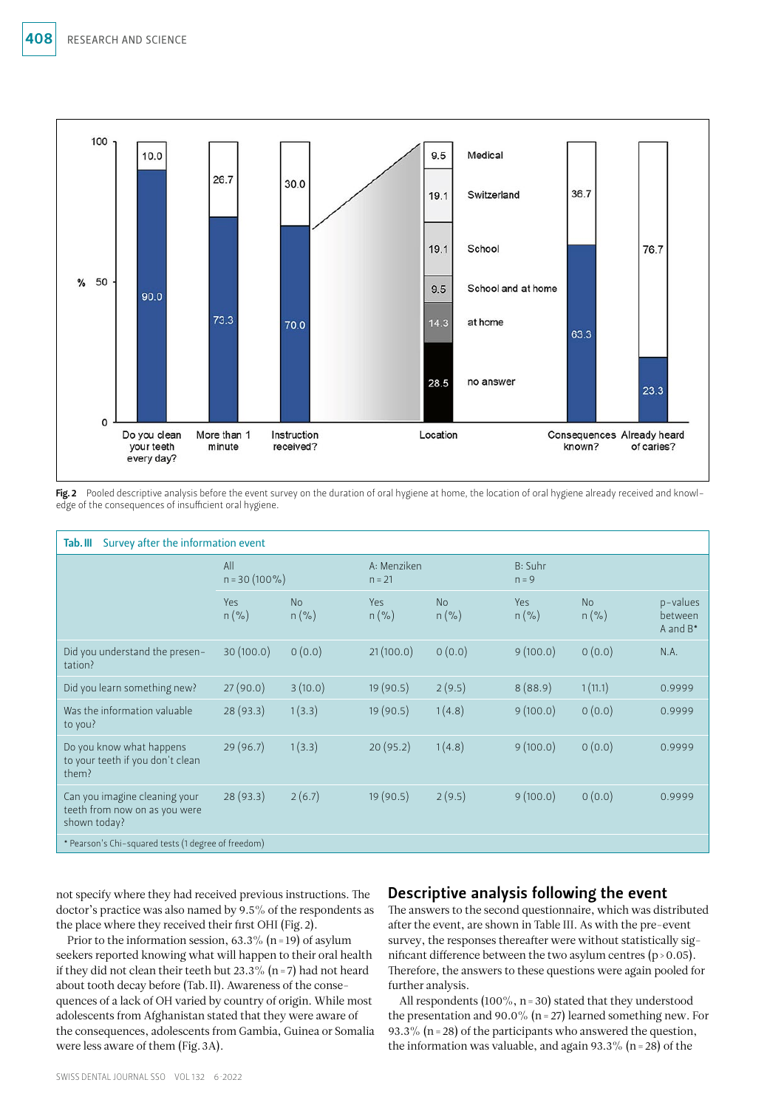

Fig. 2 Pooled descriptive analysis before the event survey on the duration of oral hygiene at home, the location of oral hygiene already received and knowledge of the consequences of insufficient oral hygiene.

| Survey after the information event<br>Tab. III                                 |                        |                      |                         |                      |                    |               |                                    |  |  |
|--------------------------------------------------------------------------------|------------------------|----------------------|-------------------------|----------------------|--------------------|---------------|------------------------------------|--|--|
|                                                                                | All<br>$n = 30(100\%)$ |                      | A: Menziken<br>$n = 21$ |                      | B: Suhr<br>$n = 9$ |               |                                    |  |  |
|                                                                                | Yes<br>$n$ (%)         | <b>No</b><br>$n$ (%) | Yes<br>$n$ (%)          | <b>No</b><br>$n$ (%) | Yes<br>$n$ (%)     | No<br>$n$ (%) | p-values<br>between<br>A and $B^*$ |  |  |
| Did you understand the presen-<br>tation?                                      | 30(100.0)              | 0(0.0)               | 21(100.0)               | 0(0.0)               | 9(100.0)           | 0(0.0)        | N.A.                               |  |  |
| Did you learn something new?                                                   | 27(90.0)               | 3(10.0)              | 19(90.5)                | 2(9.5)               | 8(88.9)            | 1(11.1)       | 0.9999                             |  |  |
| Was the information valuable<br>to you?                                        | 28(93.3)               | 1(3.3)               | 19(90.5)                | 1(4.8)               | 9(100.0)           | 0(0.0)        | 0.9999                             |  |  |
| Do you know what happens<br>to your teeth if you don't clean<br>them?          | 29 (96.7)              | 1(3.3)               | 20(95.2)                | 1(4.8)               | 9(100.0)           | 0(0.0)        | 0.9999                             |  |  |
| Can you imagine cleaning your<br>teeth from now on as you were<br>shown today? | 28(93.3)               | 2(6.7)               | 19(90.5)                | 2(9.5)               | 9(100.0)           | 0(0.0)        | 0.9999                             |  |  |
| * Pearson's Chi-squared tests (1 degree of freedom)                            |                        |                      |                         |                      |                    |               |                                    |  |  |

not specify where they had received previous instructions. The doctor's practice was also named by 9.5% of the respondents as the place where they received their first OHI (Fig.2).

Prior to the information session,  $63.3\%$  (n = 19) of asylum seekers reported knowing what will happen to their oral health if they did not clean their teeth but 23.3% (n = 7) had not heard about tooth decay before (Tab.II). Awareness of the consequences of a lack of OH varied by country of origin. While most adolescents from Afghanistan stated that they were aware of the consequences, adolescents from Gambia, Guinea or Somalia were less aware of them (Fig.3A).

### Descriptive analysis following the event

The answers to the second questionnaire, which was distributed after the event, are shown in Table III. As with the pre-event survey, the responses thereafter were without statistically significant difference between the two asylum centres  $(p > 0.05)$ . Therefore, the answers to these questions were again pooled for further analysis.

All respondents  $(100\%, n=30)$  stated that they understood the presentation and 90.0% ( $n = 27$ ) learned something new. For 93.3% ( $n = 28$ ) of the participants who answered the question, the information was valuable, and again 93.3% ( $n = 28$ ) of the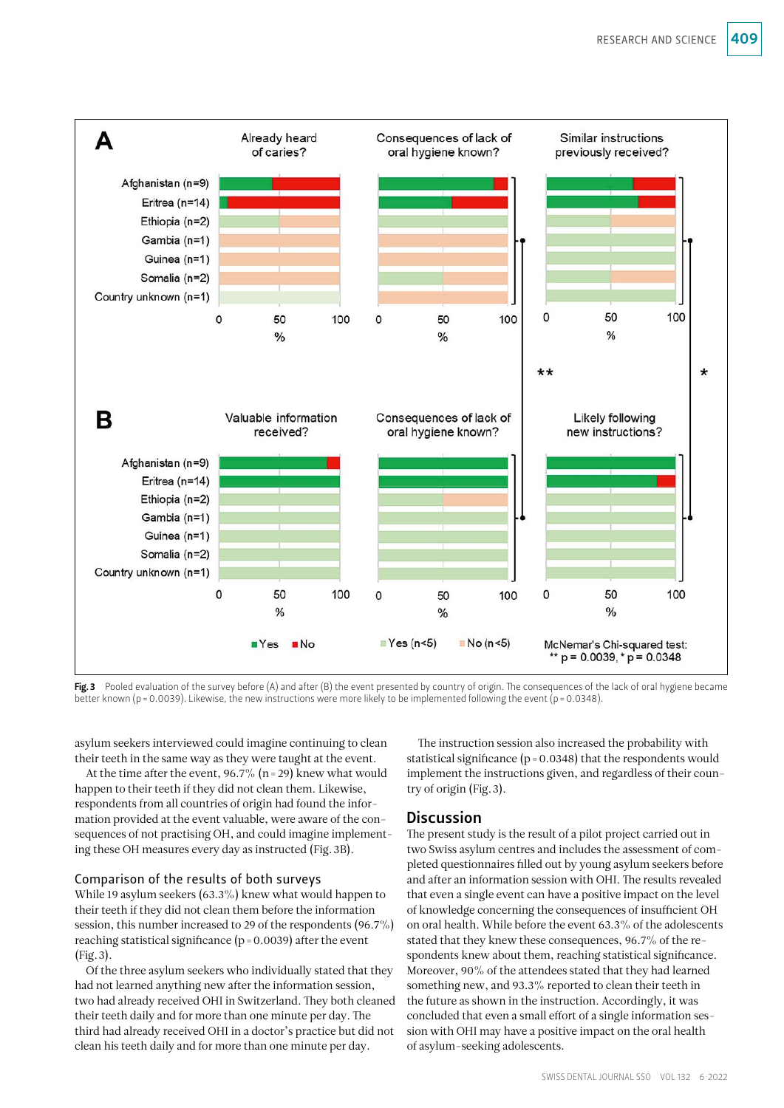

Fig. 3 Pooled evaluation of the survey before (A) and after (B) the event presented by country of origin. The consequences of the lack of oral hygiene became better known (p = 0.0039). Likewise, the new instructions were more likely to be implemented following the event (p = 0.0348).

asylum seekers interviewed could imagine continuing to clean their teeth in the same way as they were taught at the event.

At the time after the event,  $96.7\%$  (n = 29) knew what would happen to their teeth if they did not clean them. Likewise, respondents from all countries of origin had found the information provided at the event valuable, were aware of the consequences of not practising OH, and could imagine implementing these OH measures every day as instructed (Fig.3B).

### Comparison of the results of both surveys

While 19 asylum seekers (63.3%) knew what would happen to their teeth if they did not clean them before the information session, this number increased to 29 of the respondents (96.7%) reaching statistical significance ( $p = 0.0039$ ) after the event (Fig.3).

Of the three asylum seekers who individually stated that they had not learned anything new after the information session, two had already received OHI in Switzerland. They both cleaned their teeth daily and for more than one minute per day. The third had already received OHI in a doctor's practice but did not clean his teeth daily and for more than one minute per day.

The instruction session also increased the probability with statistical significance ( $p = 0.0348$ ) that the respondents would implement the instructions given, and regardless of their country of origin (Fig.3).

### Discussion

The present study is the result of a pilot project carried out in two Swiss asylum centres and includes the assessment of completed questionnaires filled out by young asylum seekers before and after an information session with OHI. The results revealed that even a single event can have a positive impact on the level of knowledge concerning the consequences of insufficient OH on oral health. While before the event 63.3% of the adolescents stated that they knew these consequences, 96.7% of the respondents knew about them, reaching statistical significance. Moreover, 90% of the attendees stated that they had learned something new, and 93.3% reported to clean their teeth in the future as shown in the instruction. Accordingly, it was concluded that even a small effort of a single information session with OHI may have a positive impact on the oral health of asylum-seeking adolescents.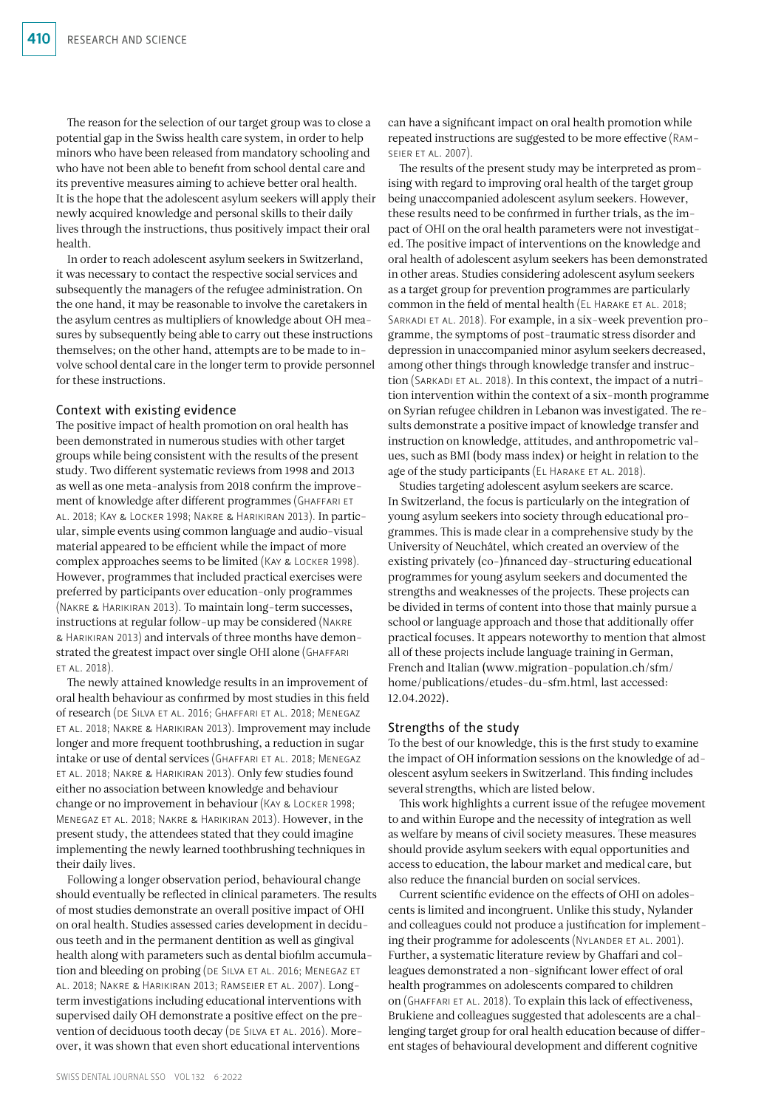The reason for the selection of our target group was to close a potential gap in the Swiss health care system, in order to help minors who have been released from mandatory schooling and who have not been able to benefit from school dental care and its preventive measures aiming to achieve better oral health. It is the hope that the adolescent asylum seekers will apply their newly acquired knowledge and personal skills to their daily lives through the instructions, thus positively impact their oral health.

In order to reach adolescent asylum seekers in Switzerland, it was necessary to contact the respective social services and subsequently the managers of the refugee administration. On the one hand, it may be reasonable to involve the caretakers in the asylum centres as multipliers of knowledge about OH measures by subsequently being able to carry out these instructions themselves; on the other hand, attempts are to be made to involve school dental care in the longer term to provide personnel for these instructions.

#### Context with existing evidence

The positive impact of health promotion on oral health has been demonstrated in numerous studies with other target groups while being consistent with the results of the present study. Two different systematic reviews from 1998 and 2013 as well as one meta-analysis from 2018 confirm the improvement of knowledge after different programmes (GHAFFARI ET al. 2018; Kay & Locker 1998; Nakre & Harikiran 2013). In particular, simple events using common language and audio-visual material appeared to be efficient while the impact of more complex approaches seems to be limited (Kay & Locker 1998). However, programmes that included practical exercises were preferred by participants over education-only programmes (Nakre & Harikiran 2013). To maintain long-term successes, instructions at regular follow-up may be considered (Nakre & Harikiran 2013) and intervals of three months have demonstrated the greatest impact over single OHI alone (Ghaffari et al. 2018).

The newly attained knowledge results in an improvement of oral health behaviour as confirmed by most studies in this field of research (de Silva et al. 2016; Ghaffari et al. 2018; Menegaz et al. 2018; Nakre & Harikiran 2013). Improvement may include longer and more frequent toothbrushing, a reduction in sugar intake or use of dental services (Ghaffari et al. 2018; Menegaz et al. 2018; Nakre & Harikiran 2013). Only few studies found either no association between knowledge and behaviour change or no improvement in behaviour (Kay & Locker 1998; Menegaz et al. 2018; Nakre & Harikiran 2013). However, in the present study, the attendees stated that they could imagine implementing the newly learned toothbrushing techniques in their daily lives.

Following a longer observation period, behavioural change should eventually be reflected in clinical parameters. The results of most studies demonstrate an overall positive impact of OHI on oral health. Studies assessed caries development in deciduous teeth and in the permanent dentition as well as gingival health along with parameters such as dental biofilm accumulation and bleeding on probing (DE SILVA ET AL. 2016; MENEGAZ ET al. 2018; Nakre & Harikiran 2013; Ramseier et al. 2007). Longterm investigations including educational interventions with supervised daily OH demonstrate a positive effect on the prevention of deciduous tooth decay (DE SILVA ET AL. 2016). Moreover, it was shown that even short educational interventions

can have a significant impact on oral health promotion while repeated instructions are suggested to be more effective (Ramseier et al. 2007).

The results of the present study may be interpreted as promising with regard to improving oral health of the target group being unaccompanied adolescent asylum seekers. However, these results need to be confirmed in further trials, as the impact of OHI on the oral health parameters were not investigated. The positive impact of interventions on the knowledge and oral health of adolescent asylum seekers has been demonstrated in other areas. Studies considering adolescent asylum seekers as a target group for prevention programmes are particularly common in the field of mental health (EL HARAKE ET AL. 2018; SARKADI ET AL. 2018). For example, in a six-week prevention programme, the symptoms of post-traumatic stress disorder and depression in unaccompanied minor asylum seekers decreased, among other things through knowledge transfer and instruction (SARKADI ET AL. 2018). In this context, the impact of a nutrition intervention within the context of a six-month programme on Syrian refugee children in Lebanon was investigated. The results demonstrate a positive impact of knowledge transfer and instruction on knowledge, attitudes, and anthropometric values, such as BMI (body mass index) or height in relation to the age of the study participants ( $EL$  HARAKE ET AL. 2018).

Studies targeting adolescent asylum seekers are scarce. In Switzerland, the focus is particularly on the integration of young asylum seekers into society through educational programmes. This is made clear in a comprehensive study by the University of Neuchâtel, which created an overview of the existing privately (co-)financed day-structuring educational programmes for young asylum seekers and documented the strengths and weaknesses of the projects. These projects can be divided in terms of content into those that mainly pursue a school or language approach and those that additionally offer practical focuses. It appears noteworthy to mention that almost all of these projects include language training in German, French and Italian [\(www.migration-population.ch/sfm/](http://www.migration-population.ch/sfm/home/publications/etudes-du-sfm.html) [home/publications/etudes-du-sfm.html, last accessed:](http://www.migration-population.ch/sfm/home/publications/etudes-du-sfm.html)  [12.04.2022](http://www.migration-population.ch/sfm/home/publications/etudes-du-sfm.html)).

#### Strengths of the study

To the best of our knowledge, this is the first study to examine the impact of OH information sessions on the knowledge of adolescent asylum seekers in Switzerland. This finding includes several strengths, which are listed below.

This work highlights a current issue of the refugee movement to and within Europe and the necessity of integration as well as welfare by means of civil society measures. These measures should provide asylum seekers with equal opportunities and access to education, the labour market and medical care, but also reduce the financial burden on social services.

Current scientific evidence on the effects of OHI on adolescents is limited and incongruent. Unlike this study, Nylander and colleagues could not produce a justification for implementing their programme for adolescents (NYLANDER ET AL. 2001). Further, a systematic literature review by Ghaffari and colleagues demonstrated a non-significant lower effect of oral health programmes on adolescents compared to children on (Ghaffari et al. 2018). To explain this lack of effectiveness, Brukiene and colleagues suggested that adolescents are a challenging target group for oral health education because of different stages of behavioural development and different cognitive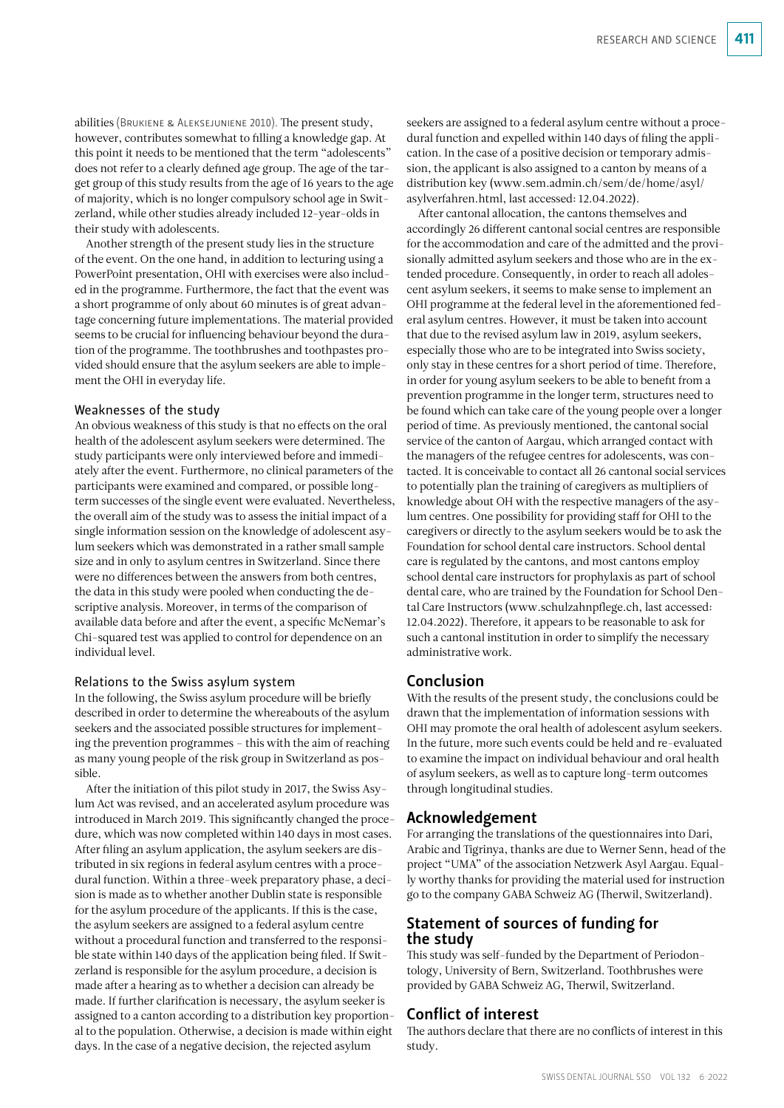abilities (Brukiene & Aleksejuniene 2010). The present study, however, contributes somewhat to filling a knowledge gap. At this point it needs to be mentioned that the term "adolescents" does not refer to a clearly defined age group. The age of the target group of this study results from the age of 16 years to the age of majority, which is no longer compulsory school age in Switzerland, while other studies already included 12-year-olds in their study with adolescents.

Another strength of the present study lies in the structure of the event. On the one hand, in addition to lecturing using a PowerPoint presentation, OHI with exercises were also included in the programme. Furthermore, the fact that the event was a short programme of only about 60 minutes is of great advantage concerning future implementations. The material provided seems to be crucial for influencing behaviour beyond the duration of the programme. The toothbrushes and toothpastes provided should ensure that the asylum seekers are able to implement the OHI in everyday life.

#### Weaknesses of the study

An obvious weakness of this study is that no effects on the oral health of the adolescent asylum seekers were determined. The study participants were only interviewed before and immediately after the event. Furthermore, no clinical parameters of the participants were examined and compared, or possible longterm successes of the single event were evaluated. Nevertheless, the overall aim of the study was to assess the initial impact of a single information session on the knowledge of adolescent asylum seekers which was demonstrated in a rather small sample size and in only to asylum centres in Switzerland. Since there were no differences between the answers from both centres, the data in this study were pooled when conducting the descriptive analysis. Moreover, in terms of the comparison of available data before and after the event, a specific McNemar's Chi-squared test was applied to control for dependence on an individual level.

#### Relations to the Swiss asylum system

In the following, the Swiss asylum procedure will be briefly described in order to determine the whereabouts of the asylum seekers and the associated possible structures for implementing the prevention programmes – this with the aim of reaching as many young people of the risk group in Switzerland as possible.

After the initiation of this pilot study in 2017, the Swiss Asylum Act was revised, and an accelerated asylum procedure was introduced in March 2019. This significantly changed the procedure, which was now completed within 140 days in most cases. After filing an asylum application, the asylum seekers are distributed in six regions in federal asylum centres with a procedural function. Within a three-week preparatory phase, a decision is made as to whether another Dublin state is responsible for the asylum procedure of the applicants. If this is the case, the asylum seekers are assigned to a federal asylum centre without a procedural function and transferred to the responsible state within 140 days of the application being filed. If Switzerland is responsible for the asylum procedure, a decision is made after a hearing as to whether a decision can already be made. If further clarification is necessary, the asylum seeker is assigned to a canton according to a distribution key proportional to the population. Otherwise, a decision is made within eight days. In the case of a negative decision, the rejected asylum

seekers are assigned to a federal asylum centre without a procedural function and expelled within 140 days of filing the application. In the case of a positive decision or temporary admission, the applicant is also assigned to a canton by means of a distribution key ([www.sem.admin.ch/sem/de/home/asyl/](http://www.sem.admin.ch/sem/de/home/asyl/asylverfahren.html) [asylverfahren.html, last accessed: 12.04.2022](http://www.sem.admin.ch/sem/de/home/asyl/asylverfahren.html)).

After cantonal allocation, the cantons themselves and accordingly 26 different cantonal social centres are responsible for the accommodation and care of the admitted and the provisionally admitted asylum seekers and those who are in the extended procedure. Consequently, in order to reach all adolescent asylum seekers, it seems to make sense to implement an OHI programme at the federal level in the aforementioned federal asylum centres. However, it must be taken into account that due to the revised asylum law in 2019, asylum seekers, especially those who are to be integrated into Swiss society, only stay in these centres for a short period of time. Therefore, in order for young asylum seekers to be able to benefit from a prevention programme in the longer term, structures need to be found which can take care of the young people over a longer period of time. As previously mentioned, the cantonal social service of the canton of Aargau, which arranged contact with the managers of the refugee centres for adolescents, was contacted. It is conceivable to contact all 26 cantonal social services to potentially plan the training of caregivers as multipliers of knowledge about OH with the respective managers of the asylum centres. One possibility for providing staff for OHI to the caregivers or directly to the asylum seekers would be to ask the Foundation for school dental care instructors. School dental care is regulated by the cantons, and most cantons employ school dental care instructors for prophylaxis as part of school dental care, who are trained by the Foundation for School Dental Care Instructors ([www.schulzahnpflege.ch](http://www.schulzahnpflege.ch), last accessed: 12.04.2022). Therefore, it appears to be reasonable to ask for such a cantonal institution in order to simplify the necessary administrative work.

### Conclusion

With the results of the present study, the conclusions could be drawn that the implementation of information sessions with OHI may promote the oral health of adolescent asylum seekers. In the future, more such events could be held and re-evaluated to examine the impact on individual behaviour and oral health of asylum seekers, as well as to capture long-term outcomes through longitudinal studies.

### Acknowledgement

For arranging the translations of the questionnaires into Dari, Arabic and Tigrinya, thanks are due to Werner Senn, head of the project "UMA" of the association Netzwerk Asyl Aargau. Equally worthy thanks for providing the material used for instruction go to the company GABA Schweiz AG (Therwil, Switzerland).

### Statement of sources of funding for the study

This study was self-funded by the Department of Periodontology, University of Bern, Switzerland. Toothbrushes were provided by GABA Schweiz AG, Therwil, Switzerland.

### Conflict of interest

The authors declare that there are no conflicts of interest in this study.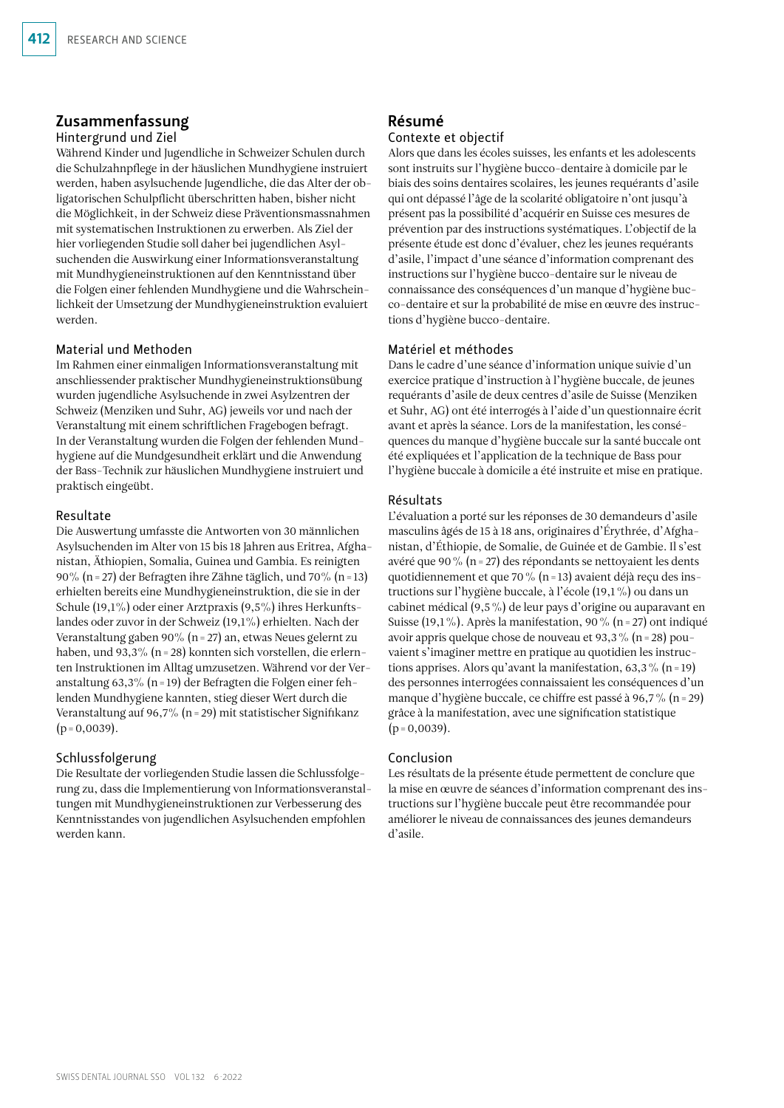### Zusammenfassung

### Hintergrund und Ziel

Während Kinder und Jugendliche in Schweizer Schulen durch die Schulzahnpflege in der häuslichen Mundhygiene instruiert werden, haben asylsuchende Jugendliche, die das Alter der obligatorischen Schulpflicht überschritten haben, bisher nicht die Möglichkeit, in der Schweiz diese Präventionsmassnahmen mit systematischen Instruktionen zu erwerben. Als Ziel der hier vorliegenden Studie soll daher bei jugendlichen Asylsuchenden die Auswirkung einer Informationsveranstaltung mit Mundhygieneinstruktionen auf den Kenntnisstand über die Folgen einer fehlenden Mundhygiene und die Wahrscheinlichkeit der Umsetzung der Mundhygieneinstruktion evaluiert werden.

### Material und Methoden

Im Rahmen einer einmaligen Informationsveranstaltung mit anschliessender praktischer Mundhygieneinstruktionsübung wurden jugendliche Asylsuchende in zwei Asylzentren der Schweiz (Menziken und Suhr, AG) jeweils vor und nach der Veranstaltung mit einem schriftlichen Fragebogen befragt. In der Veranstaltung wurden die Folgen der fehlenden Mundhygiene auf die Mundgesundheit erklärt und die Anwendung der Bass-Technik zur häuslichen Mundhygiene instruiert und praktisch eingeübt.

#### Resultate

Die Auswertung umfasste die Antworten von 30 männlichen Asylsuchenden im Alter von 15 bis 18 Jahren aus Eritrea, Afghanistan, Äthiopien, Somalia, Guinea und Gambia. Es reinigten 90% (n=27) der Befragten ihre Zähne täglich, und 70% (n=13) erhielten bereits eine Mundhygieneinstruktion, die sie in der Schule (19,1%) oder einer Arztpraxis (9,5%) ihres Herkunftslandes oder zuvor in der Schweiz (19,1%) erhielten. Nach der Veranstaltung gaben 90% (n=27) an, etwas Neues gelernt zu haben, und 93,3% (n=28) konnten sich vorstellen, die erlernten Instruktionen im Alltag umzusetzen. Während vor der Veranstaltung 63,3% (n=19) der Befragten die Folgen einer fehlenden Mundhygiene kannten, stieg dieser Wert durch die Veranstaltung auf 96,7% (n=29) mit statistischer Signifikanz  $(p=0,0039)$ .

### Schlussfolgerung

Die Resultate der vorliegenden Studie lassen die Schlussfolgerung zu, dass die Implementierung von Informationsveranstaltungen mit Mundhygieneinstruktionen zur Verbesserung des Kenntnisstandes von jugendlichen Asylsuchenden empfohlen werden kann.

## Résumé

### Contexte et objectif

Alors que dans les écoles suisses, les enfants et les adolescents sont instruits sur l'hygiène bucco-dentaire à domicile par le biais des soins dentaires scolaires, les jeunes requérants d'asile qui ont dépassé l'âge de la scolarité obligatoire n'ont jusqu'à présent pas la possibilité d'acquérir en Suisse ces mesures de prévention par des instructions systématiques. L'objectif de la présente étude est donc d'évaluer, chez les jeunes requérants d'asile, l'impact d'une séance d'information comprenant des instructions sur l'hygiène bucco-dentaire sur le niveau de connaissance des conséquences d'un manque d'hygiène bucco-dentaire et sur la probabilité de mise en œuvre des instructions d'hygiène bucco-dentaire.

#### Matériel et méthodes

Dans le cadre d'une séance d'information unique suivie d'un exercice pratique d'instruction à l'hygiène buccale, de jeunes requérants d'asile de deux centres d'asile de Suisse (Menziken et Suhr, AG) ont été interrogés à l'aide d'un questionnaire écrit avant et après la séance. Lors de la manifestation, les conséquences du manque d'hygiène buccale sur la santé buccale ont été expliquées et l'application de la technique de Bass pour l'hygiène buccale à domicile a été instruite et mise en pratique.

#### Résultats

L'évaluation a porté sur les réponses de 30 demandeurs d'asile masculins âgés de 15 à 18 ans, originaires d'Érythrée, d'Afghanistan, d'Éthiopie, de Somalie, de Guinée et de Gambie. Il s'est avéré que 90% (n=27) des répondants se nettoyaient les dents quotidiennement et que 70% (n=13) avaient déjà reçu des instructions sur l'hygiène buccale, à l'école (19,1%) ou dans un cabinet médical (9,5%) de leur pays d'origine ou auparavant en Suisse (19,1%). Après la manifestation, 90% (n = 27) ont indiqué avoir appris quelque chose de nouveau et 93,3% (n=28) pouvaient s'imaginer mettre en pratique au quotidien les instructions apprises. Alors qu'avant la manifestation, 63,3 % (n = 19) des personnes interrogées connaissaient les conséquences d'un manque d'hygiène buccale, ce chiffre est passé à 96,7% (n=29) grâce à la manifestation, avec une signification statistique  $(p=0,0039)$ .

### Conclusion

Les résultats de la présente étude permettent de conclure que la mise en œuvre de séances d'information comprenant des instructions sur l'hygiène buccale peut être recommandée pour améliorer le niveau de connaissances des jeunes demandeurs d'asile.